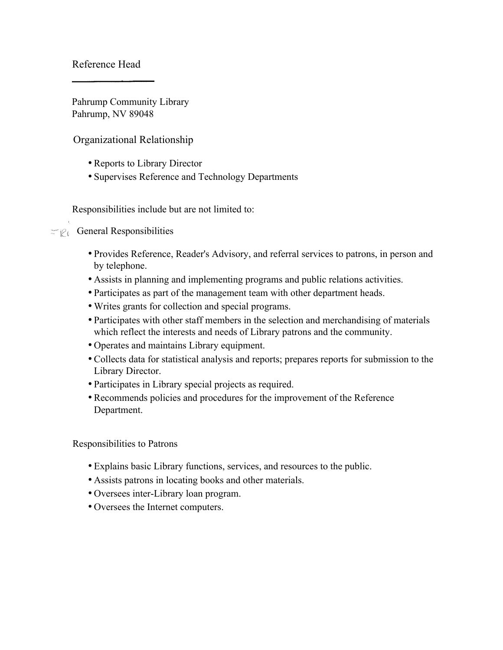Reference Head

Pahrump Community Library Pahrump, NV 89048

Organizational Relationship

- Reports to Library Director
- Supervises Reference and Technology Departments

Responsibilities include but are not limited to:

# $\equiv \mathcal{C}_\ell$  General Responsibilities

- Provides Reference, Reader's Advisory, and referral services to patrons, in person and by telephone.
- Assists in planning and implementing programs and public relations activities.
- Participates as part of the management team with other department heads.
- Writes grants for collection and special programs.
- Participates with other staff members in the selection and merchandising of materials which reflect the interests and needs of Library patrons and the community.
- Operates and maintains Library equipment.
- Collects data for statistical analysis and reports; prepares reports for submission to the Library Director.
- Participates in Library special projects as required.
- Recommends policies and procedures for the improvement of the Reference Department.

Responsibilities to Patrons

- Explains basic Library functions, services, and resources to the public.
- Assists patrons in locating books and other materials.
- Oversees inter-Library loan program.
- Oversees the Internet computers.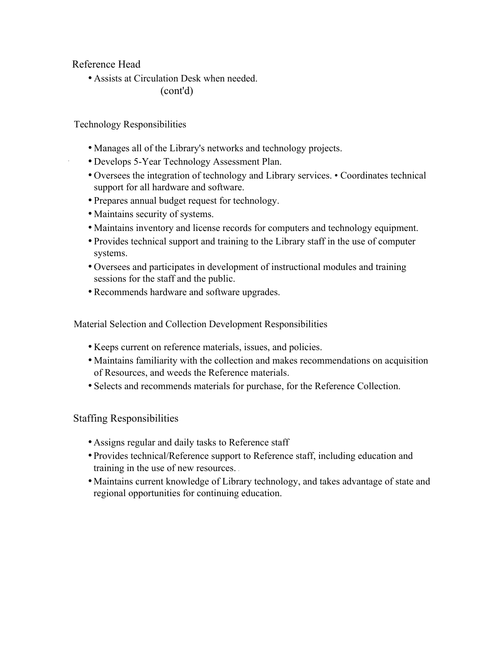Reference Head

• Assists at Circulation Desk when needed. (cont'd)

Technology Responsibilities

- Manages all of the Library's networks and technology projects.
- Develops 5-Year Technology Assessment Plan.
- Oversees the integration of technology and Library services. Coordinates technical support for all hardware and software.
- Prepares annual budget request for technology.
- Maintains security of systems.
- Maintains inventory and license records for computers and technology equipment.
- Provides technical support and training to the Library staff in the use of computer systems.
- Oversees and participates in development of instructional modules and training sessions for the staff and the public.
- Recommends hardware and software upgrades.

Material Selection and Collection Development Responsibilities

- Keeps current on reference materials, issues, and policies.
- Maintains familiarity with the collection and makes recommendations on acquisition of Resources, and weeds the Reference materials.
- Selects and recommends materials for purchase, for the Reference Collection.

## Staffing Responsibilities

- Assigns regular and daily tasks to Reference staff
- Provides technical/Reference support to Reference staff, including education and training in the use of new resources.
- Maintains current knowledge of Library technology, and takes advantage of state and regional opportunities for continuing education.